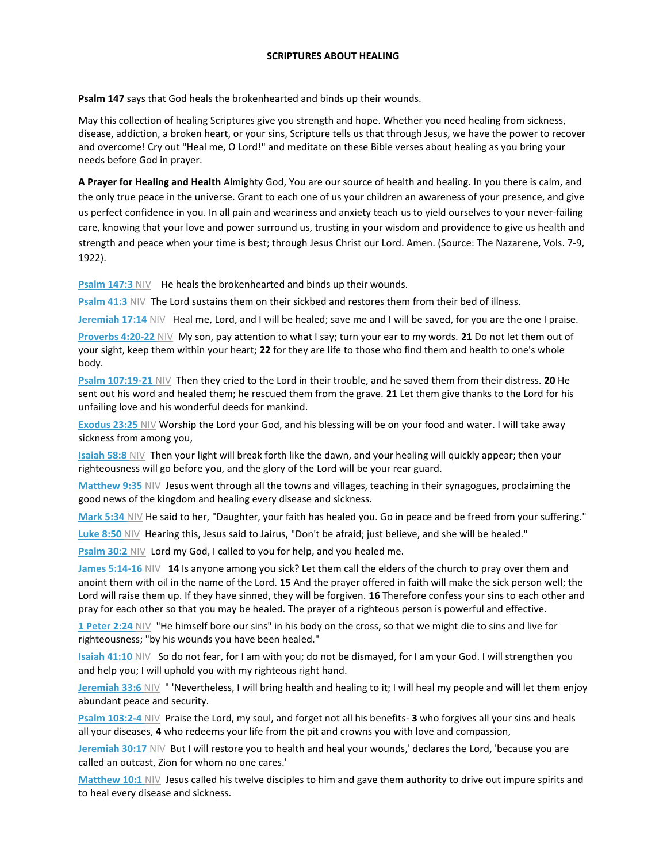## **SCRIPTURES ABOUT HEALING**

**Psalm 147** says that God heals the brokenhearted and binds up their wounds.

May this collection of healing Scriptures give you strength and hope. Whether you need healing from sickness, disease, addiction, a broken heart, or your sins, Scripture tells us that through Jesus, we have the power to recover and overcome! Cry out "Heal me, O Lord!" and meditate on these Bible verses about healing as you bring your needs before God in prayer.

**A Prayer for Healing and Health** Almighty God, You are our source of health and healing. In you there is calm, and the only true peace in the universe. Grant to each one of us your children an awareness of your presence, and give us perfect confidence in you. In all pain and weariness and anxiety teach us to yield ourselves to your never-failing care, knowing that your love and power surround us, trusting in your wisdom and providence to give us health and strength and peace when your time is best; through Jesus Christ our Lord. Amen. (Source: The Nazarene, Vols. 7-9, 1922).

**[Psalm 147:3](https://www.christianity.com/bible/niv/psalm/147-3) NIV He heals the brokenhearted and binds up their wounds.** 

**[Psalm 41:3](https://www.christianity.com/bible/niv/psalm/41-3)** NIV The Lord sustains them on their sickbed and restores them from their bed of illness.

**[Jeremiah 17:14](https://www.christianity.com/bible/niv/jeremiah/17-14)** NIVHeal me, Lord, and I will be healed; save me and I will be saved, for you are the one I praise.

**[Proverbs 4:20-22](https://www.christianity.com/bible/niv/proverbs/4-20-22)** NIV My son, pay attention to what I say; turn your ear to my words. **21** Do not let them out of your sight, keep them within your heart; **22** for they are life to those who find them and health to one's whole body.

**[Psalm 107:19-21](https://www.christianity.com/bible/niv/psalm/107-19-21)** NIV Then they cried to the Lord in their trouble, and he saved them from their distress. **20** He sent out his word and healed them; he rescued them from the grave. **21** Let them give thanks to the Lord for his unfailing love and his wonderful deeds for mankind.

**[Exodus 23:25](https://www.christianity.com/bible/niv/exodus/23-25)** NIV Worship the Lord your God, and his blessing will be on your food and water. I will take away sickness from among you,

**[Isaiah 58:8](https://www.christianity.com/bible/niv/isaiah/58-8)** NIVThen your light will break forth like the dawn, and your healing will quickly appear; then your righteousness will go before you, and the glory of the Lord will be your rear guard.

**[Matthew 9:35](https://www.christianity.com/bible/niv/matthew/9-35)** NIV Jesus went through all the towns and villages, teaching in their synagogues, proclaiming the good news of the kingdom and healing every disease and sickness.

**[Mark 5:34](https://www.christianity.com/bible/niv/mark/5-34)** NIV He said to her, "Daughter, your faith has healed you. Go in peace and be freed from your suffering."

**[Luke 8:50](https://www.christianity.com/bible/niv/luke/8-50)** NIVHearing this, Jesus said to Jairus, "Don't be afraid; just believe, and she will be healed."

**[Psalm 30:2](https://www.christianity.com/bible/niv/psalm/30-2) NIV** Lord my God, I called to you for help, and you healed me.

**[James 5:14-16](https://www.christianity.com/bible/niv/james/5-14-16)** NIV **14** Is anyone among you sick? Let them call the elders of the church to pray over them and anoint them with oil in the name of the Lord. **15** And the prayer offered in faith will make the sick person well; the Lord will raise them up. If they have sinned, they will be forgiven. **16** Therefore confess your sins to each other and pray for each other so that you may be healed. The prayer of a righteous person is powerful and effective.

**[1 Peter 2:24](https://www.christianity.com/bible/niv/1-peter/2-24)** NIV "He himself bore our sins" in his body on the cross, so that we might die to sins and live for righteousness; "by his wounds you have been healed."

**[Isaiah 41:10](https://www.christianity.com/bible/niv/isaiah/41-10)** NIVSo do not fear, for I am with you; do not be dismayed, for I am your God. I will strengthen you and help you; I will uphold you with my righteous right hand.

**[Jeremiah 33:6](https://www.christianity.com/bible/niv/jeremiah/33-6)** NIV " 'Nevertheless, I will bring health and healing to it; I will heal my people and will let them enjoy abundant peace and security.

**[Psalm 103:2-4](https://www.christianity.com/bible/niv/psalm/103-2-4)** NIVPraise the Lord, my soul, and forget not all his benefits- **3** who forgives all your sins and heals all your diseases, **4** who redeems your life from the pit and crowns you with love and compassion,

**[Jeremiah 30:17](https://www.christianity.com/bible/niv/jeremiah/30-17)** NIVBut I will restore you to health and heal your wounds,' declares the Lord, 'because you are called an outcast, Zion for whom no one cares.'

**[Matthew 10:1](https://www.christianity.com/bible/niv/matthew/10-1)** NIVJesus called his twelve disciples to him and gave them authority to drive out impure spirits and to heal every disease and sickness.